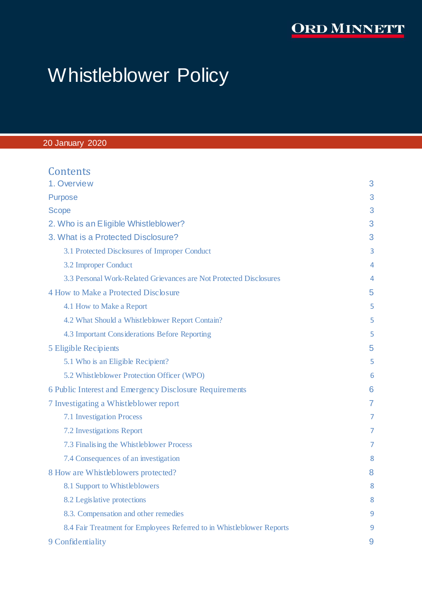# **ORD MINNETT**

# Whistleblower Policy

# 20 January 2020

| Contents                                                              |                |
|-----------------------------------------------------------------------|----------------|
| 1. Overview                                                           | 3              |
| <b>Purpose</b>                                                        | 3              |
| <b>Scope</b>                                                          | 3              |
| 2. Who is an Eligible Whistleblower?                                  | 3              |
| 3. What is a Protected Disclosure?                                    | 3              |
| 3.1 Protected Disclosures of Improper Conduct                         | 3              |
| 3.2 Improper Conduct                                                  | 4              |
| 3.3 Personal Work-Related Grievances are Not Protected Disclosures    | 4              |
| 4 How to Make a Protected Disclosure                                  | 5              |
| 4.1 How to Make a Report                                              | 5              |
| 4.2 What Should a Whistleblower Report Contain?                       | 5              |
| 4.3 Important Considerations Before Reporting                         | 5              |
| <b>5 Eligible Recipients</b>                                          | 5              |
| 5.1 Who is an Eligible Recipient?                                     | 5              |
| 5.2 Whistleblower Protection Officer (WPO)                            | 6              |
| 6 Public Interest and Emergency Disclosure Requirements               | 6              |
| 7 Investigating a Whistleblower report                                | $\overline{7}$ |
| <b>7.1 Investigation Process</b>                                      | 7              |
| 7.2 Investigations Report                                             | 7              |
| 7.3 Finalising the Whistleblower Process                              | 7              |
| 7.4 Consequences of an investigation                                  | 8              |
| 8 How are Whistleblowers protected?                                   | 8              |
| 8.1 Support to Whistleblowers                                         | 8              |
| 8.2 Legislative protections                                           | 8              |
| 8.3. Compensation and other remedies                                  | 9              |
| 8.4 Fair Treatment for Employees Referred to in Whistleblower Reports | 9              |
| 9 Confidentiality                                                     | 9              |
|                                                                       |                |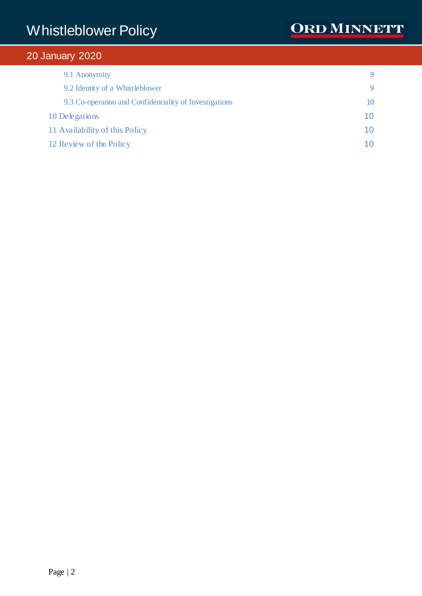| 9.1 Anonymity                                          |    |
|--------------------------------------------------------|----|
| 9.2 Identity of a Whistleblower                        | q  |
| 9.3 Co-operation and Confidentiality of Investigations | 10 |
| 10 Delegations                                         | 10 |
| 11 Availability of this Policy                         | 10 |
| 12 Review of the Policy                                | 10 |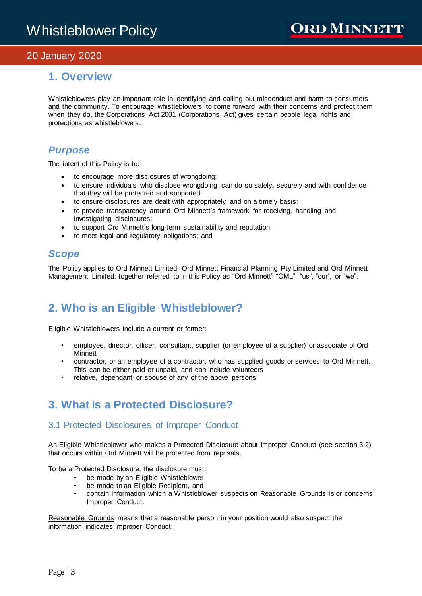# <span id="page-2-0"></span>**1. Overview**

Whistleblowers play an important role in identifying and calling out misconduct and harm to consumers and the community. To encourage whistleblowers to come forward with their concerns and protect them when they do, the Corporations Act 2001 (Corporations Act) gives certain people legal rights and protections as whistleblowers.

# <span id="page-2-1"></span>*Purpose*

The intent of this Policy is to:

- to encourage more disclosures of wrongdoing;
- to ensure individuals who disclose wrongdoing can do so safely, securely and with confidence that they will be protected and supported;
- to ensure disclosures are dealt with appropriately and on a timely basis;
- to provide transparency around Ord Minnett's framework for receiving, handling and investigating disclosures;
- to support Ord Minnett's long-term sustainability and reputation;
- to meet legal and regulatory obligations; and

# <span id="page-2-2"></span>*Scope*

The Policy applies to Ord Minnett Limited, Ord Minnett Financial Planning Pty Limited and Ord Minnett Management Limited; together referred to in this Policy as "Ord Minnett" "OML", "us", "our", or "we".

# <span id="page-2-3"></span>**2. Who is an Eligible Whistleblower?**

Eligible Whistleblowers include a current or former:

- employee, director, officer, consultant, supplier (or employee of a supplier) or associate of Ord Minnett
- contractor, or an employee of a contractor, who has supplied goods or services to Ord Minnett. This can be either paid or unpaid, and can include volunteers
- relative, dependant or spouse of any of the above persons.

# <span id="page-2-4"></span>**3. What is a Protected Disclosure?**

# <span id="page-2-5"></span>3.1 Protected Disclosures of Improper Conduct

An Eligible Whistleblower who makes a Protected Disclosure about Improper Conduct (see section 3.2) that occurs within Ord Minnett will be protected from reprisals.

To be a Protected Disclosure, the disclosure must:

- be made by an Eligible Whistleblower
- 
- be made to an Eligible Recipient, and<br>• contain information which a Whistleblo • contain information which a Whistleblower suspects on Reasonable Grounds is or concerns Improper Conduct.

Reasonable Grounds means that a reasonable person in your position would also suspect the information indicates Improper Conduct.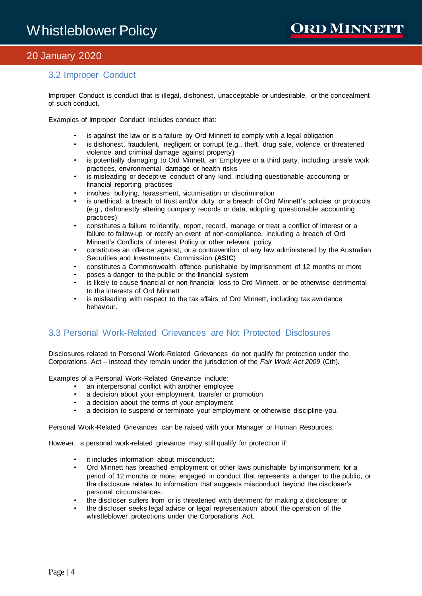# <span id="page-3-0"></span>3.2 Improper Conduct

Improper Conduct is conduct that is illegal, dishonest, unacceptable or undesirable, or the concealment of such conduct.

Examples of Improper Conduct includes conduct that:

- is against the law or is a failure by Ord Minnett to comply with a legal obligation
- is dishonest, fraudulent, negligent or corrupt (e.g., theft, drug sale, violence or threatened violence and criminal damage against property)
- is potentially damaging to Ord Minnett, an Employee or a third party, including unsafe work practices, environmental damage or health risks
- is misleading or deceptive conduct of any kind, including questionable accounting or financial reporting practices
- involves bullying, harassment, victimisation or discrimination
- is unethical, a breach of trust and/or duty, or a breach of Ord Minnett's policies or protocols (e.g., dishonestly altering company records or data, adopting questionable accounting practices)
- constitutes a failure to identify, report, record, manage or treat a conflict of interest or a failure to follow-up or rectify an event of non-compliance, including a breach of Ord Minnett's Conflicts of Interest Policy or other relevant policy
- constitutes an offence against, or a contravention of any law administered by the Australian Securities and Investments Commission (**ASIC**)
- constitutes a Commonwealth offence punishable by imprisonment of 12 months or more
- poses a danger to the public or the financial system
- is likely to cause financial or non-financial loss to Ord Minnett, or be otherwise detrimental to the interests of Ord Minnett
- is misleading with respect to the tax affairs of Ord Minnett, including tax avoidance behaviour.

### <span id="page-3-1"></span>3.3 Personal Work-Related Grievances are Not Protected Disclosures

Disclosures related to Personal Work-Related Grievances do not qualify for protection under the Corporations Act – instead they remain under the jurisdiction of the *Fair Work Act 2009* (Cth).

Examples of a Personal Work-Related Grievance include:

- an interpersonal conflict with another employee
	- a decision about your employment, transfer or promotion
	- a decision about the terms of your employment
	- a decision to suspend or terminate your employment or otherwise discipline you.

Personal Work-Related Grievances can be raised with your Manager or Human Resources.

However, a personal work-related grievance may still qualify for protection if:

- it includes information about misconduct;
- Ord Minnett has breached employment or other laws punishable by imprisonment for a period of 12 months or more, engaged in conduct that represents a danger to the public, or the disclosure relates to information that suggests misconduct beyond the discloser's personal circumstances;
- the discloser suffers from or is threatened with detriment for making a disclosure; or
- the discloser seeks legal advice or legal representation about the operation of the whistleblower protections under the Corporations Act.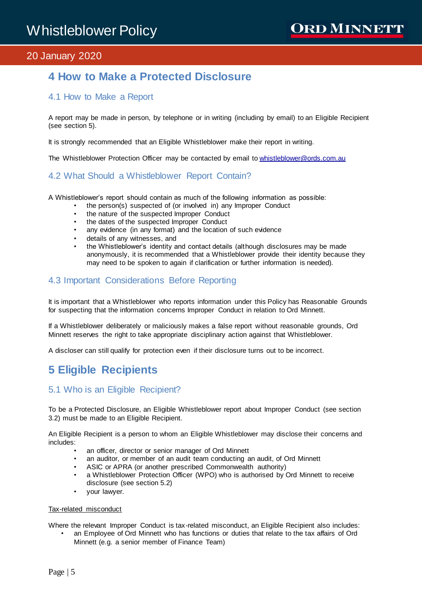# <span id="page-4-0"></span>**4 How to Make a Protected Disclosure**

## <span id="page-4-1"></span>4.1 How to Make a Report

A report may be made in person, by telephone or in writing (including by email) to an Eligible Recipient (see section 5).

It is strongly recommended that an Eligible Whistleblower make their report in writing.

<span id="page-4-2"></span>The Whistleblower Protection Officer may be contacted by email t[o whistleblower@ords.com.au](mailto:whistleblower@ords.com.au)

### 4.2 What Should a Whistleblower Report Contain?

A Whistleblower's report should contain as much of the following information as possible:

- the person(s) suspected of (or involved in) any Improper Conduct
	- the nature of the suspected Improper Conduct
	- the dates of the suspected Improper Conduct
	- any evidence (in any format) and the location of such evidence
	- details of any witnesses, and
	- the Whistleblower's identity and contact details (although disclosures may be made anonymously, it is recommended that a Whistleblower provide their identity because they may need to be spoken to again if clarification or further information is needed).

### <span id="page-4-3"></span>4.3 Important Considerations Before Reporting

It is important that a Whistleblower who reports information under this Policy has Reasonable Grounds for suspecting that the information concerns Improper Conduct in relation to Ord Minnett.

If a Whistleblower deliberately or maliciously makes a false report without reasonable grounds, Ord Minnett reserves the right to take appropriate disciplinary action against that Whistleblower.

<span id="page-4-4"></span>A discloser can still qualify for protection even if their disclosure turns out to be incorrect.

# **5 Eligible Recipients**

### <span id="page-4-5"></span>5.1 Who is an Eligible Recipient?

To be a Protected Disclosure, an Eligible Whistleblower report about Improper Conduct (see section 3.2) must be made to an Eligible Recipient.

An Eligible Recipient is a person to whom an Eligible Whistleblower may disclose their concerns and includes:

- an officer, director or senior manager of Ord Minnett
- an auditor, or member of an audit team conducting an audit, of Ord Minnett
- ASIC or APRA (or another prescribed Commonwealth authority)
- a Whistleblower Protection Officer (WPO) who is authorised by Ord Minnett to receive disclosure (see section 5.2)
- your lawyer.

#### Tax-related misconduct

Where the relevant Improper Conduct is tax-related misconduct, an Eligible Recipient also includes: • an Employee of Ord Minnett who has functions or duties that relate to the tax affairs of Ord

Minnett (e.g. a senior member of Finance Team)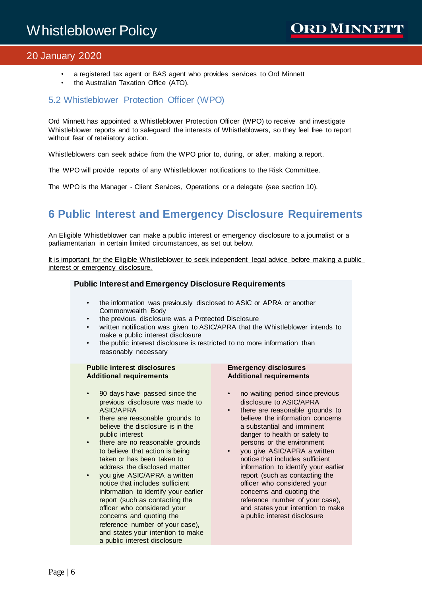- a registered tax agent or BAS agent who provides services to Ord Minnett
- the Australian Taxation Office (ATO).

## <span id="page-5-0"></span>5.2 Whistleblower Protection Officer (WPO)

Ord Minnett has appointed a Whistleblower Protection Officer (WPO) to receive and investigate Whistleblower reports and to safeguard the interests of Whistleblowers, so they feel free to report without fear of retaliatory action.

Whistleblowers can seek advice from the WPO prior to, during, or after, making a report.

The WPO will provide reports of any Whistleblower notifications to the Risk Committee.

The WPO is the Manager - Client Services, Operations or a delegate (see section 10).

# <span id="page-5-1"></span>**6 Public Interest and Emergency Disclosure Requirements**

An Eligible Whistleblower can make a public interest or emergency disclosure to a journalist or a parliamentarian in certain limited circumstances, as set out below.

It is important for the Eligible Whistleblower to seek independent legal advice before making a public interest or emergency disclosure.

#### **Public Interest and Emergency Disclosure Requirements**

- the information was previously disclosed to ASIC or APRA or another Commonwealth Body
- the previous disclosure was a Protected Disclosure
- written notification was given to ASIC/APRA that the Whistleblower intends to make a public interest disclosure
- the public interest disclosure is restricted to no more information than reasonably necessary

#### **Public interest disclosures Additional requirements**

- 90 days have passed since the previous disclosure was made to ASIC/APRA
- there are reasonable grounds to believe the disclosure is in the public interest
- there are no reasonable grounds to believe that action is being taken or has been taken to address the disclosed matter
- you give ASIC/APRA a written notice that includes sufficient information to identify your earlier report (such as contacting the officer who considered your concerns and quoting the reference number of your case), and states your intention to make a public interest disclosure

#### **Emergency disclosures Additional requirements**

- no waiting period since previous disclosure to ASIC/APRA
- there are reasonable grounds to believe the information concerns a substantial and imminent danger to health or safety to persons or the environment
- you give ASIC/APRA a written notice that includes sufficient information to identify your earlier report (such as contacting the officer who considered your concerns and quoting the reference number of your case), and states your intention to make a public interest disclosure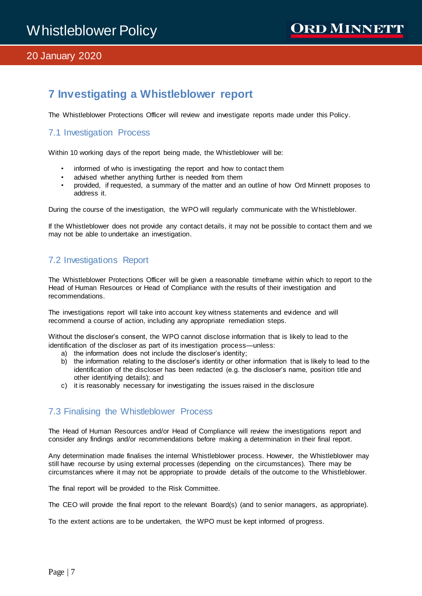# <span id="page-6-0"></span>**7 Investigating a Whistleblower report**

<span id="page-6-1"></span>The Whistleblower Protections Officer will review and investigate reports made under this Policy.

# 7.1 Investigation Process

Within 10 working days of the report being made, the Whistleblower will be:

- informed of who is investigating the report and how to contact them
- advised whether anything further is needed from them
- provided, if requested, a summary of the matter and an outline of how Ord Minnett proposes to address it.

During the course of the investigation, the WPO will regularly communicate with the Whistleblower.

If the Whistleblower does not provide any contact details, it may not be possible to contact them and we may not be able to undertake an investigation.

# <span id="page-6-2"></span>7.2 Investigations Report

The Whistleblower Protections Officer will be given a reasonable timeframe within which to report to the Head of Human Resources or Head of Compliance with the results of their investigation and recommendations.

The investigations report will take into account key witness statements and evidence and will recommend a course of action, including any appropriate remediation steps.

Without the discloser's consent, the WPO cannot disclose information that is likely to lead to the identification of the discloser as part of its investigation process—unless:

- a) the information does not include the discloser's identity;
- b) the information relating to the discloser's identity or other information that is likely to lead to the identification of the discloser has been redacted (e.g. the discloser's name, position title and other identifying details); and
- c) it is reasonably necessary for investigating the issues raised in the disclosure

### <span id="page-6-3"></span>7.3 Finalising the Whistleblower Process

The Head of Human Resources and/or Head of Compliance will review the investigations report and consider any findings and/or recommendations before making a determination in their final report.

Any determination made finalises the internal Whistleblower process. However, the Whistleblower may still have recourse by using external processes (depending on the circumstances). There may be circumstances where it may not be appropriate to provide details of the outcome to the Whistleblower.

The final report will be provided to the Risk Committee.

The CEO will provide the final report to the relevant Board(s) (and to senior managers, as appropriate).

To the extent actions are to be undertaken, the WPO must be kept informed of progress.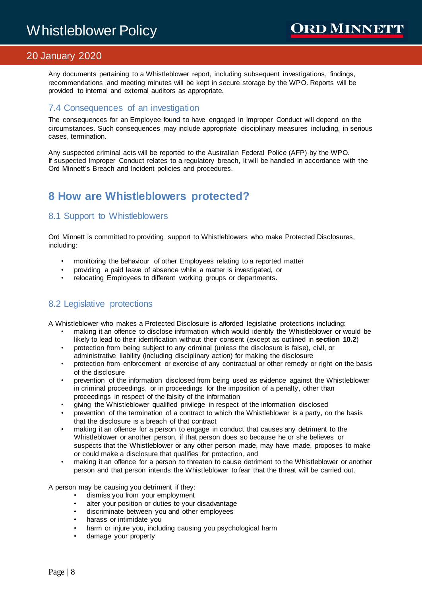Any documents pertaining to a Whistleblower report, including subsequent investigations, findings, recommendations and meeting minutes will be kept in secure storage by the WPO. Reports will be provided to internal and external auditors as appropriate.

### <span id="page-7-0"></span>7.4 Consequences of an investigation

The consequences for an Employee found to have engaged in Improper Conduct will depend on the circumstances. Such consequences may include appropriate disciplinary measures including, in serious cases, termination.

Any suspected criminal acts will be reported to the Australian Federal Police (AFP) by the WPO. If suspected Improper Conduct relates to a regulatory breach, it will be handled in accordance with the Ord Minnett's Breach and Incident policies and procedures.

# <span id="page-7-1"></span>**8 How are Whistleblowers protected?**

# <span id="page-7-2"></span>8.1 Support to Whistleblowers

Ord Minnett is committed to providing support to Whistleblowers who make Protected Disclosures, including:

- monitoring the behaviour of other Employees relating to a reported matter
- providing a paid leave of absence while a matter is investigated, or
- relocating Employees to different working groups or departments.

# <span id="page-7-3"></span>8.2 Legislative protections

A Whistleblower who makes a Protected Disclosure is afforded legislative protections including:

- making it an offence to disclose information which would identify the Whistleblower or would be likely to lead to their identification without their consent (except as outlined in **section 10.2**)
- protection from being subject to any criminal (unless the disclosure is false), civil, or administrative liability (including disciplinary action) for making the disclosure
- protection from enforcement or exercise of any contractual or other remedy or right on the basis of the disclosure
- prevention of the information disclosed from being used as evidence against the Whistleblower in criminal proceedings, or in proceedings for the imposition of a penalty, other than proceedings in respect of the falsity of the information
- giving the Whistleblower qualified privilege in respect of the information disclosed
- prevention of the termination of a contract to which the Whistleblower is a party, on the basis that the disclosure is a breach of that contract
- making it an offence for a person to engage in conduct that causes any detriment to the Whistleblower or another person, if that person does so because he or she believes or suspects that the Whistleblower or any other person made, may have made, proposes to make or could make a disclosure that qualifies for protection, and
- making it an offence for a person to threaten to cause detriment to the Whistleblower or another person and that person intends the Whistleblower to fear that the threat will be carried out.

A person may be causing you detriment if they:

- dismiss you from your employment
- alter your position or duties to your disadvantage
- discriminate between you and other employees
- harass or intimidate you
- harm or injure you, including causing you psychological harm
- damage your property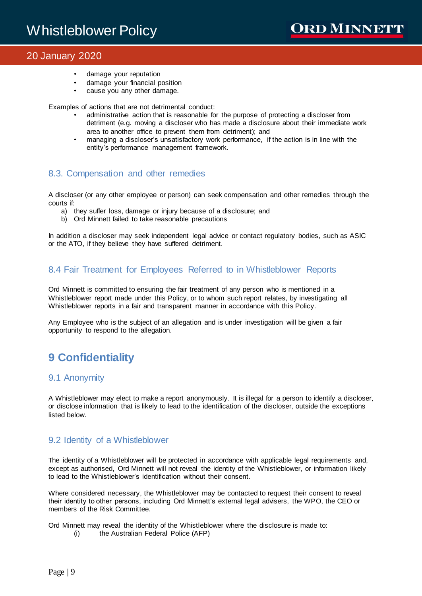- damage your reputation
- damage your financial position
- cause you any other damage.

Examples of actions that are not detrimental conduct:

- administrative action that is reasonable for the purpose of protecting a discloser from detriment (e.g. moving a discloser who has made a disclosure about their immediate work area to another office to prevent them from detriment); and
- managing a discloser's unsatisfactory work performance, if the action is in line with the entity's performance management framework.

### <span id="page-8-0"></span>8.3. Compensation and other remedies

A discloser (or any other employee or person) can seek compensation and other remedies through the courts if:

- a) they suffer loss, damage or injury because of a disclosure; and
- b) Ord Minnett failed to take reasonable precautions

In addition a discloser may seek independent legal advice or contact regulatory bodies, such as ASIC or the ATO, if they believe they have suffered detriment.

### <span id="page-8-1"></span>8.4 Fair Treatment for Employees Referred to in Whistleblower Reports

Ord Minnett is committed to ensuring the fair treatment of any person who is mentioned in a Whistleblower report made under this Policy, or to whom such report relates, by investigating all Whistleblower reports in a fair and transparent manner in accordance with this Policy.

Any Employee who is the subject of an allegation and is under investigation will be given a fair opportunity to respond to the allegation.

# <span id="page-8-2"></span>**9 Confidentiality**

### <span id="page-8-3"></span>9.1 Anonymity

A Whistleblower may elect to make a report anonymously. It is illegal for a person to identify a discloser, or disclose information that is likely to lead to the identification of the discloser, outside the exceptions listed below.

### <span id="page-8-4"></span>9.2 Identity of a Whistleblower

The identity of a Whistleblower will be protected in accordance with applicable legal requirements and, except as authorised, Ord Minnett will not reveal the identity of the Whistleblower, or information likely to lead to the Whistleblower's identification without their consent.

Where considered necessary, the Whistleblower may be contacted to request their consent to reveal their identity to other persons, including Ord Minnett's external legal advisers, the WPO, the CEO or members of the Risk Committee.

Ord Minnett may reveal the identity of the Whistleblower where the disclosure is made to: (i) the Australian Federal Police (AFP)